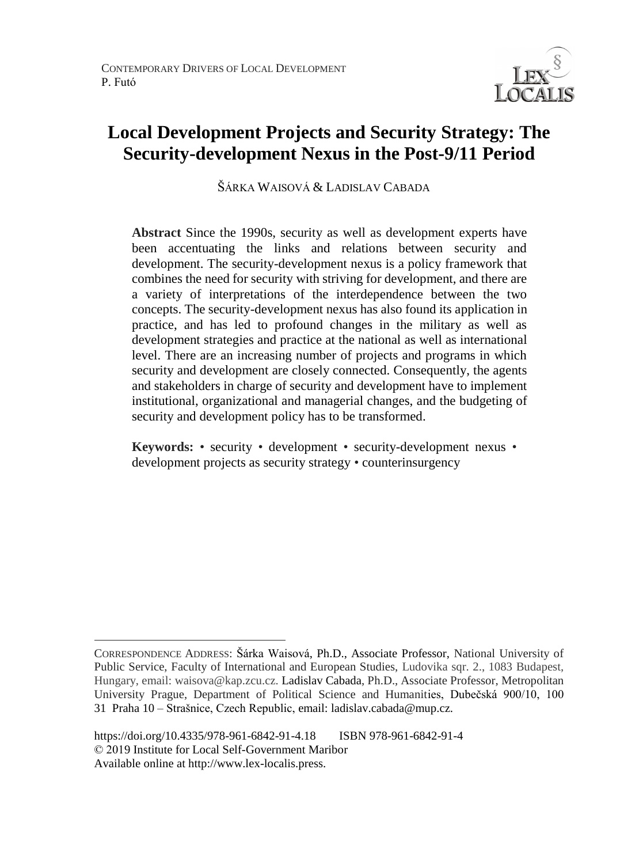

# **Local Development Projects and Security Strategy: The Security-development Nexus in the Post-9/11 Period**

ŠÁRKA WAISOVÁ & LADISLAV CABADA

**Abstract** Since the 1990s, security as well as development experts have been accentuating the links and relations between security and development. The security-development nexus is a policy framework that combines the need for security with striving for development, and there are a variety of interpretations of the interdependence between the two concepts. The security-development nexus has also found its application in practice, and has led to profound changes in the military as well as development strategies and practice at the national as well as international level. There are an increasing number of projects and programs in which security and development are closely connected. Consequently, the agents and stakeholders in charge of security and development have to implement institutional, organizational and managerial changes, and the budgeting of security and development policy has to be transformed.

**Keywords:** • security • development • security-development nexus • development projects as security strategy • counterinsurgency

 $\overline{a}$ 

CORRESPONDENCE ADDRESS: Šárka Waisová, Ph.D., Associate Professor, National University of Public Service, Faculty of International and European Studies, Ludovika sqr. 2., 1083 Budapest, Hungary, email: waisova@kap.zcu.cz. Ladislav Cabada, Ph.D., Associate Professor, Metropolitan University Prague, Department of Political Science and Humanities, Dubečská 900/10, 100 31 Praha 10 – Strašnice, Czech Republic, email: ladislav.cabada@mup.cz.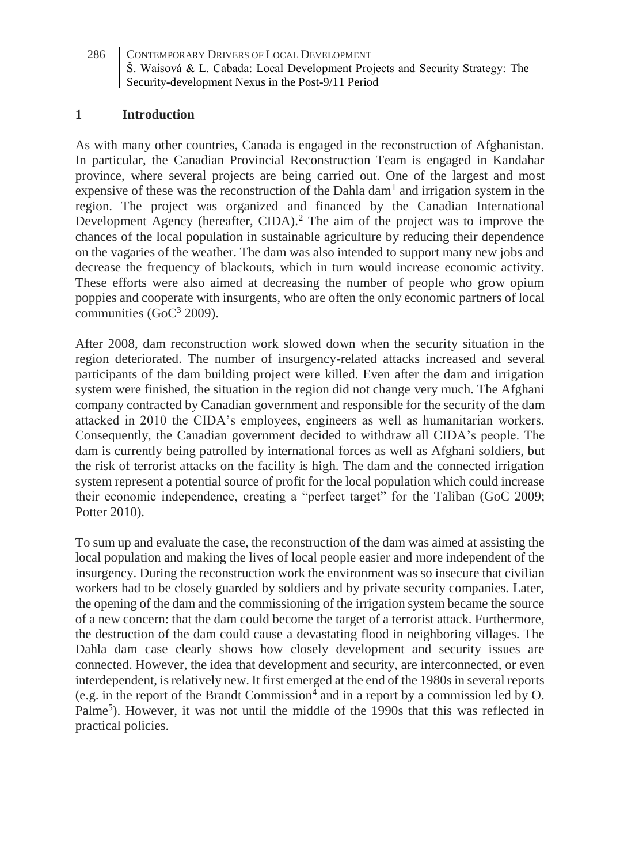### **1 Introduction**

As with many other countries, Canada is engaged in the reconstruction of Afghanistan. In particular, the Canadian Provincial Reconstruction Team is engaged in Kandahar province, where several projects are being carried out. One of the largest and most expensive of these was the reconstruction of the Dahla dam<sup>1</sup> and irrigation system in the region. The project was organized and financed by the Canadian International Development Agency (hereafter, CIDA).<sup>2</sup> The aim of the project was to improve the chances of the local population in sustainable agriculture by reducing their dependence on the vagaries of the weather. The dam was also intended to support many new jobs and decrease the frequency of blackouts, which in turn would increase economic activity. These efforts were also aimed at decreasing the number of people who grow opium poppies and cooperate with insurgents, who are often the only economic partners of local communities ( $GoC<sup>3</sup> 2009$ ).

After 2008, dam reconstruction work slowed down when the security situation in the region deteriorated. The number of insurgency-related attacks increased and several participants of the dam building project were killed. Even after the dam and irrigation system were finished, the situation in the region did not change very much. The Afghani company contracted by Canadian government and responsible for the security of the dam attacked in 2010 the CIDA's employees, engineers as well as humanitarian workers. Consequently, the Canadian government decided to withdraw all CIDA's people. The dam is currently being patrolled by international forces as well as Afghani soldiers, but the risk of terrorist attacks on the facility is high. The dam and the connected irrigation system represent a potential source of profit for the local population which could increase their economic independence, creating a "perfect target" for the Taliban (GoC 2009; Potter 2010).

To sum up and evaluate the case, the reconstruction of the dam was aimed at assisting the local population and making the lives of local people easier and more independent of the insurgency. During the reconstruction work the environment was so insecure that civilian workers had to be closely guarded by soldiers and by private security companies. Later, the opening of the dam and the commissioning of the irrigation system became the source of a new concern: that the dam could become the target of a terrorist attack. Furthermore, the destruction of the dam could cause a devastating flood in neighboring villages. The Dahla dam case clearly shows how closely development and security issues are connected. However, the idea that development and security, are interconnected, or even interdependent, is relatively new. It first emerged at the end of the 1980s in several reports (e.g. in the report of the Brandt Commission<sup>4</sup> and in a report by a commission led by O. Palme<sup>5</sup>). However, it was not until the middle of the 1990s that this was reflected in practical policies.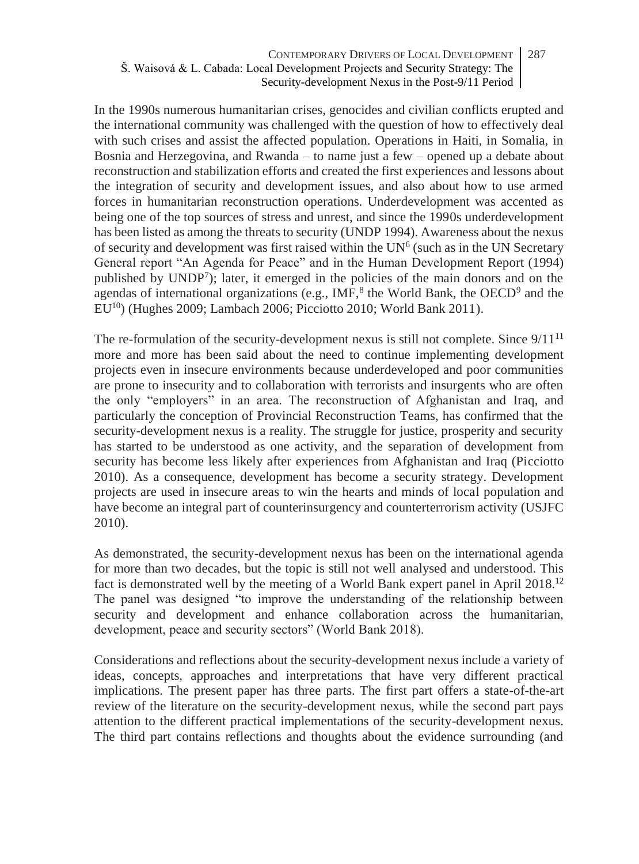In the 1990s numerous humanitarian crises, genocides and civilian conflicts erupted and the international community was challenged with the question of how to effectively deal with such crises and assist the affected population. Operations in Haiti, in Somalia, in Bosnia and Herzegovina, and Rwanda – to name just a few – opened up a debate about reconstruction and stabilization efforts and created the first experiences and lessons about the integration of security and development issues, and also about how to use armed forces in humanitarian reconstruction operations. Underdevelopment was accented as being one of the top sources of stress and unrest, and since the 1990s underdevelopment has been listed as among the threats to security (UNDP 1994). Awareness about the nexus of security and development was first raised within the  $UN<sup>6</sup>$  (such as in the UN Secretary General report "An Agenda for Peace" and in the Human Development Report (1994) published by UNDP<sup>7</sup>); later, it emerged in the policies of the main donors and on the agendas of international organizations (e.g., IMF, $^8$  the World Bank, the OECD<sup>9</sup> and the EU<sup>10</sup>) (Hughes 2009; Lambach 2006; Picciotto 2010; World Bank 2011).

The re-formulation of the security-development nexus is still not complete. Since  $9/11^{11}$ more and more has been said about the need to continue implementing development projects even in insecure environments because underdeveloped and poor communities are prone to insecurity and to collaboration with terrorists and insurgents who are often the only "employers" in an area. The reconstruction of Afghanistan and Iraq, and particularly the conception of Provincial Reconstruction Teams, has confirmed that the security-development nexus is a reality. The struggle for justice, prosperity and security has started to be understood as one activity, and the separation of development from security has become less likely after experiences from Afghanistan and Iraq (Picciotto 2010). As a consequence, development has become a security strategy. Development projects are used in insecure areas to win the hearts and minds of local population and have become an integral part of counterinsurgency and counterterrorism activity (USJFC 2010).

As demonstrated, the security-development nexus has been on the international agenda for more than two decades, but the topic is still not well analysed and understood. This fact is demonstrated well by the meeting of a World Bank expert panel in April 2018.<sup>12</sup> The panel was designed "to improve the understanding of the relationship between security and development and enhance collaboration across the humanitarian, development, peace and security sectors" (World Bank 2018).

Considerations and reflections about the security-development nexus include a variety of ideas, concepts, approaches and interpretations that have very different practical implications. The present paper has three parts. The first part offers a state-of-the-art review of the literature on the security-development nexus, while the second part pays attention to the different practical implementations of the security-development nexus. The third part contains reflections and thoughts about the evidence surrounding (and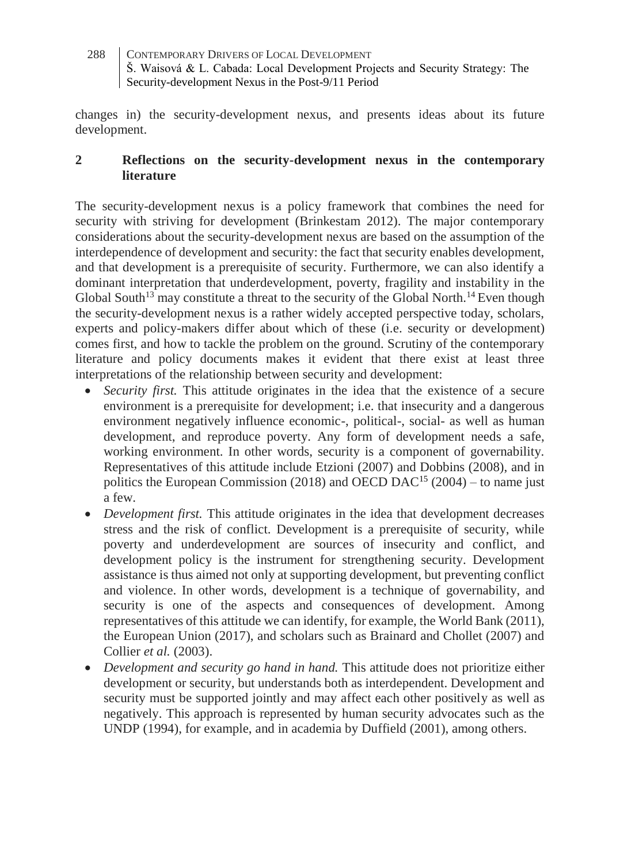changes in) the security-development nexus, and presents ideas about its future development.

### **2 Reflections on the security-development nexus in the contemporary literature**

The security-development nexus is a policy framework that combines the need for security with striving for development (Brinkestam 2012). The major contemporary considerations about the security-development nexus are based on the assumption of the interdependence of development and security: the fact that security enables development, and that development is a prerequisite of security. Furthermore, we can also identify a dominant interpretation that underdevelopment, poverty, fragility and instability in the Global South<sup>13</sup> may constitute a threat to the security of the Global North.<sup>14</sup> Even though the security-development nexus is a rather widely accepted perspective today, scholars, experts and policy-makers differ about which of these (i.e. security or development) comes first, and how to tackle the problem on the ground. Scrutiny of the contemporary literature and policy documents makes it evident that there exist at least three interpretations of the relationship between security and development:

- *Security first.* This attitude originates in the idea that the existence of a secure environment is a prerequisite for development; i.e. that insecurity and a dangerous environment negatively influence economic-, political-, social- as well as human development, and reproduce poverty. Any form of development needs a safe, working environment. In other words, security is a component of governability. Representatives of this attitude include Etzioni (2007) and Dobbins (2008), and in politics the European Commission (2018) and OECD DAC<sup>15</sup> (2004) – to name just a few.
- *Development first*. This attitude originates in the idea that development decreases stress and the risk of conflict. Development is a prerequisite of security, while poverty and underdevelopment are sources of insecurity and conflict, and development policy is the instrument for strengthening security. Development assistance is thus aimed not only at supporting development, but preventing conflict and violence. In other words, development is a technique of governability, and security is one of the aspects and consequences of development. Among representatives of this attitude we can identify, for example, the World Bank (2011), the European Union (2017), and scholars such as Brainard and Chollet (2007) and Collier *et al.* (2003).
- *Development and security go hand in hand.* This attitude does not prioritize either development or security, but understands both as interdependent. Development and security must be supported jointly and may affect each other positively as well as negatively. This approach is represented by human security advocates such as the UNDP (1994), for example, and in academia by Duffield (2001), among others.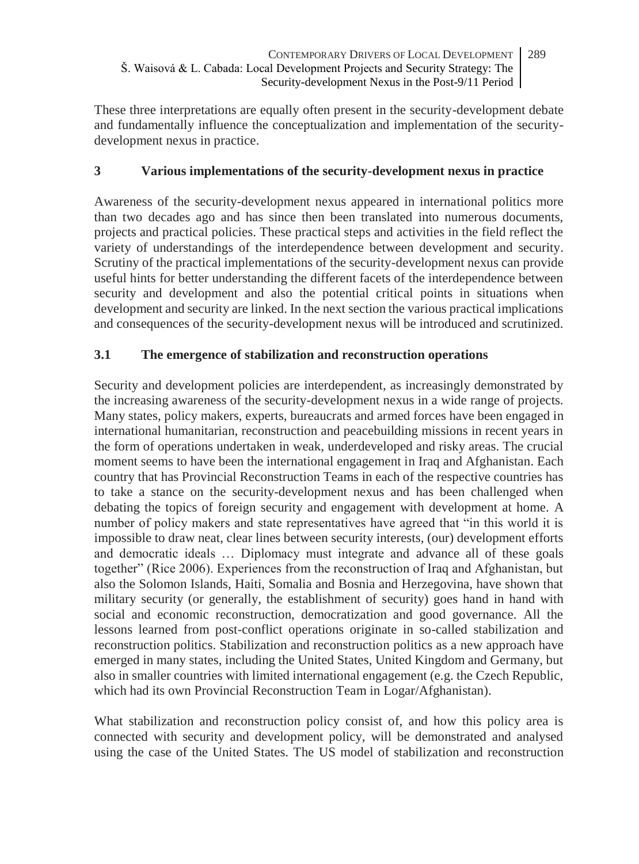These three interpretations are equally often present in the security-development debate and fundamentally influence the conceptualization and implementation of the securitydevelopment nexus in practice.

## **3 Various implementations of the security-development nexus in practice**

Awareness of the security-development nexus appeared in international politics more than two decades ago and has since then been translated into numerous documents, projects and practical policies. These practical steps and activities in the field reflect the variety of understandings of the interdependence between development and security. Scrutiny of the practical implementations of the security-development nexus can provide useful hints for better understanding the different facets of the interdependence between security and development and also the potential critical points in situations when development and security are linked. In the next section the various practical implications and consequences of the security-development nexus will be introduced and scrutinized.

# **3.1 The emergence of stabilization and reconstruction operations**

Security and development policies are interdependent, as increasingly demonstrated by the increasing awareness of the security-development nexus in a wide range of projects. Many states, policy makers, experts, bureaucrats and armed forces have been engaged in international humanitarian, reconstruction and peacebuilding missions in recent years in the form of operations undertaken in weak, underdeveloped and risky areas. The crucial moment seems to have been the international engagement in Iraq and Afghanistan. Each country that has Provincial Reconstruction Teams in each of the respective countries has to take a stance on the security-development nexus and has been challenged when debating the topics of foreign security and engagement with development at home. A number of policy makers and state representatives have agreed that "in this world it is impossible to draw neat, clear lines between security interests, (our) development efforts and democratic ideals … Diplomacy must integrate and advance all of these goals together" (Rice 2006). Experiences from the reconstruction of Iraq and Afghanistan, but also the Solomon Islands, Haiti, Somalia and Bosnia and Herzegovina, have shown that military security (or generally, the establishment of security) goes hand in hand with social and economic reconstruction, democratization and good governance. All the lessons learned from post-conflict operations originate in so-called stabilization and reconstruction politics. Stabilization and reconstruction politics as a new approach have emerged in many states, including the United States, United Kingdom and Germany, but also in smaller countries with limited international engagement (e.g. the Czech Republic, which had its own Provincial Reconstruction Team in Logar/Afghanistan).

What stabilization and reconstruction policy consist of, and how this policy area is connected with security and development policy, will be demonstrated and analysed using the case of the United States. The US model of stabilization and reconstruction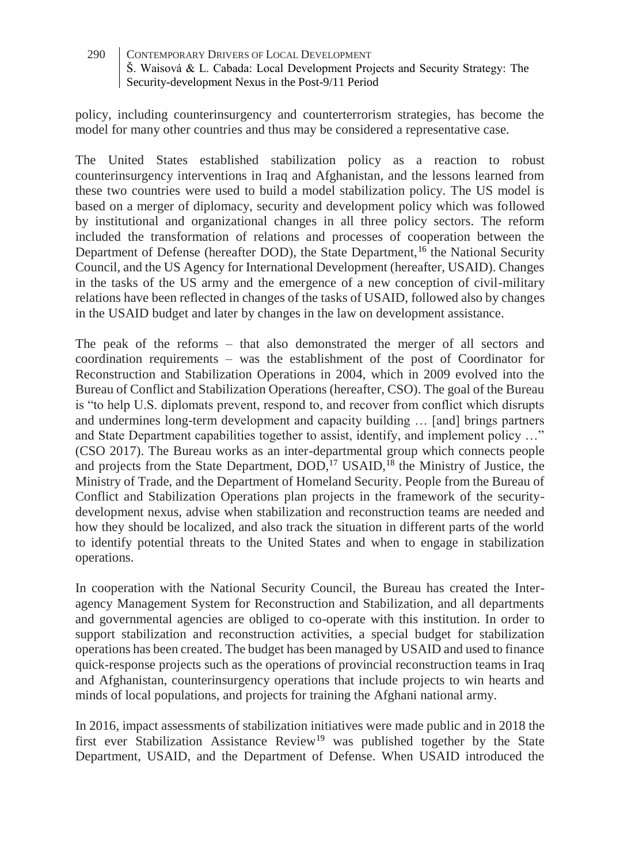policy, including counterinsurgency and counterterrorism strategies, has become the model for many other countries and thus may be considered a representative case.

The United States established stabilization policy as a reaction to robust counterinsurgency interventions in Iraq and Afghanistan, and the lessons learned from these two countries were used to build a model stabilization policy. The US model is based on a merger of diplomacy, security and development policy which was followed by institutional and organizational changes in all three policy sectors. The reform included the transformation of relations and processes of cooperation between the Department of Defense (hereafter DOD), the State Department,<sup>16</sup> the National Security Council, and the US Agency for International Development (hereafter, USAID). Changes in the tasks of the US army and the emergence of a new conception of civil-military relations have been reflected in changes of the tasks of USAID, followed also by changes in the USAID budget and later by changes in the law on development assistance.

The peak of the reforms – that also demonstrated the merger of all sectors and coordination requirements – was the establishment of the post of Coordinator for Reconstruction and Stabilization Operations in 2004, which in 2009 evolved into the Bureau of Conflict and Stabilization Operations (hereafter, CSO). The goal of the Bureau is "to help U.S. diplomats prevent, respond to, and recover from conflict which disrupts and undermines long-term development and capacity building … [and] brings partners and State Department capabilities together to assist, identify, and implement policy …" (CSO 2017). The Bureau works as an inter-departmental group which connects people and projects from the State Department, DOD,<sup>17</sup> USAID,<sup>18</sup> the Ministry of Justice, the Ministry of Trade, and the Department of Homeland Security. People from the Bureau of Conflict and Stabilization Operations plan projects in the framework of the securitydevelopment nexus, advise when stabilization and reconstruction teams are needed and how they should be localized, and also track the situation in different parts of the world to identify potential threats to the United States and when to engage in stabilization operations.

In cooperation with the National Security Council, the Bureau has created the Interagency Management System for Reconstruction and Stabilization, and all departments and governmental agencies are obliged to co-operate with this institution. In order to support stabilization and reconstruction activities, a special budget for stabilization operations has been created. The budget has been managed by USAID and used to finance quick-response projects such as the operations of provincial reconstruction teams in Iraq and Afghanistan, counterinsurgency operations that include projects to win hearts and minds of local populations, and projects for training the Afghani national army.

In 2016, impact assessments of stabilization initiatives were made public and in 2018 the first ever Stabilization Assistance Review<sup>19</sup> was published together by the State Department, USAID, and the Department of Defense. When USAID introduced the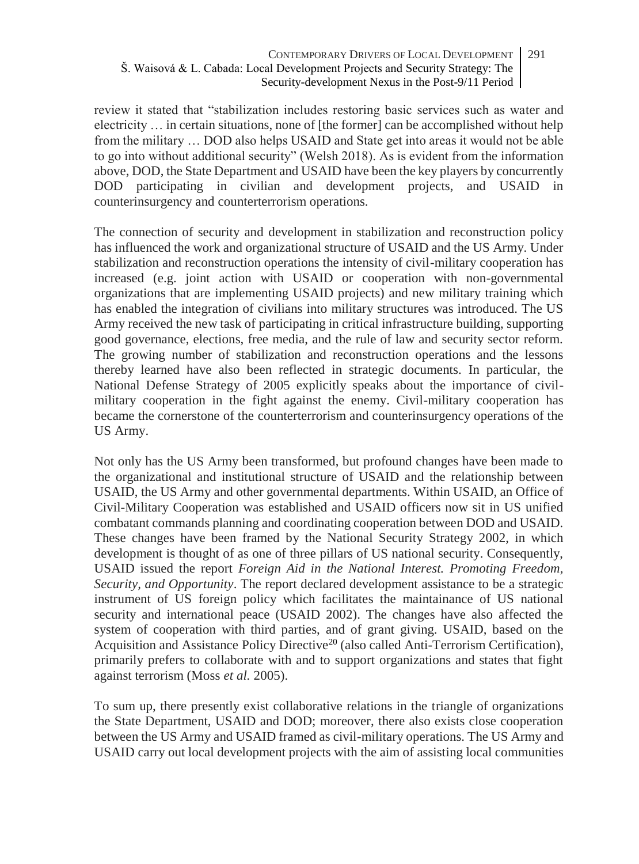review it stated that "stabilization includes restoring basic services such as water and electricity … in certain situations, none of [the former] can be accomplished without help from the military … DOD also helps USAID and State get into areas it would not be able to go into without additional security" (Welsh 2018). As is evident from the information above, DOD, the State Department and USAID have been the key players by concurrently DOD participating in civilian and development projects, and USAID in counterinsurgency and counterterrorism operations.

The connection of security and development in stabilization and reconstruction policy has influenced the work and organizational structure of USAID and the US Army. Under stabilization and reconstruction operations the intensity of civil-military cooperation has increased (e.g. joint action with USAID or cooperation with non-governmental organizations that are implementing USAID projects) and new military training which has enabled the integration of civilians into military structures was introduced. The US Army received the new task of participating in critical infrastructure building, supporting good governance, elections, free media, and the rule of law and security sector reform. The growing number of stabilization and reconstruction operations and the lessons thereby learned have also been reflected in strategic documents. In particular, the National Defense Strategy of 2005 explicitly speaks about the importance of civilmilitary cooperation in the fight against the enemy. Civil-military cooperation has became the cornerstone of the counterterrorism and counterinsurgency operations of the US Army.

Not only has the US Army been transformed, but profound changes have been made to the organizational and institutional structure of USAID and the relationship between USAID, the US Army and other governmental departments. Within USAID, an Office of Civil-Military Cooperation was established and USAID officers now sit in US unified combatant commands planning and coordinating cooperation between DOD and USAID. These changes have been framed by the National Security Strategy 2002, in which development is thought of as one of three pillars of US national security. Consequently, USAID issued the report *Foreign Aid in the National Interest. Promoting Freedom, Security, and Opportunity*. The report declared development assistance to be a strategic instrument of US foreign policy which facilitates the maintainance of US national security and international peace (USAID 2002). The changes have also affected the system of cooperation with third parties, and of grant giving. USAID, based on the Acquisition and Assistance Policy Directive<sup>20</sup> (also called Anti-Terrorism Certification), primarily prefers to collaborate with and to support organizations and states that fight against terrorism (Moss *et al.* 2005).

To sum up, there presently exist collaborative relations in the triangle of organizations the State Department, USAID and DOD; moreover, there also exists close cooperation between the US Army and USAID framed as civil-military operations. The US Army and USAID carry out local development projects with the aim of assisting local communities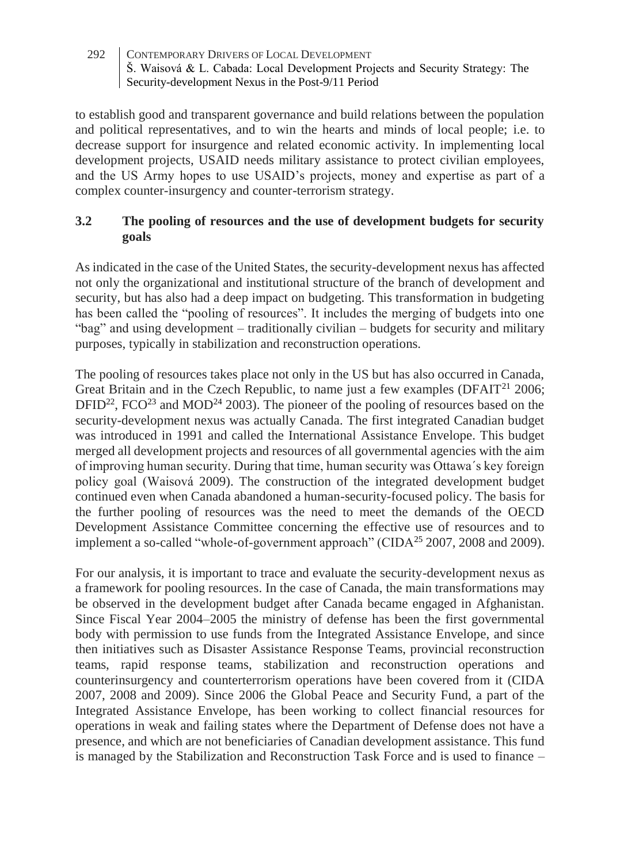to establish good and transparent governance and build relations between the population and political representatives, and to win the hearts and minds of local people; i.e. to decrease support for insurgence and related economic activity. In implementing local development projects, USAID needs military assistance to protect civilian employees, and the US Army hopes to use USAID's projects, money and expertise as part of a complex counter-insurgency and counter-terrorism strategy.

## **3.2 The pooling of resources and the use of development budgets for security goals**

As indicated in the case of the United States, the security-development nexus has affected not only the organizational and institutional structure of the branch of development and security, but has also had a deep impact on budgeting. This transformation in budgeting has been called the "pooling of resources". It includes the merging of budgets into one "bag" and using development – traditionally civilian – budgets for security and military purposes, typically in stabilization and reconstruction operations.

The pooling of resources takes place not only in the US but has also occurred in Canada, Great Britain and in the Czech Republic, to name just a few examples  $(DFAIT<sup>21</sup> 2006$ ;  $DFID^{22}$ ,  $FCO^{23}$  and  $MOD^{24}$  2003). The pioneer of the pooling of resources based on the security-development nexus was actually Canada. The first integrated Canadian budget was introduced in 1991 and called the International Assistance Envelope. This budget merged all development projects and resources of all governmental agencies with the aim of improving human security. During that time, human security was Ottawa´s key foreign policy goal (Waisová 2009). The construction of the integrated development budget continued even when Canada abandoned a human-security-focused policy. The basis for the further pooling of resources was the need to meet the demands of the OECD Development Assistance Committee concerning the effective use of resources and to implement a so-called "whole-of-government approach" (CIDA<sup>25</sup> 2007, 2008 and 2009).

For our analysis, it is important to trace and evaluate the security-development nexus as a framework for pooling resources. In the case of Canada, the main transformations may be observed in the development budget after Canada became engaged in Afghanistan. Since Fiscal Year 2004–2005 the ministry of defense has been the first governmental body with permission to use funds from the Integrated Assistance Envelope, and since then initiatives such as Disaster Assistance Response Teams, provincial reconstruction teams, rapid response teams, stabilization and reconstruction operations and counterinsurgency and counterterrorism operations have been covered from it (CIDA 2007, 2008 and 2009). Since 2006 the Global Peace and Security Fund, a part of the Integrated Assistance Envelope, has been working to collect financial resources for operations in weak and failing states where the Department of Defense does not have a presence, and which are not beneficiaries of Canadian development assistance. This fund is managed by the Stabilization and Reconstruction Task Force and is used to finance –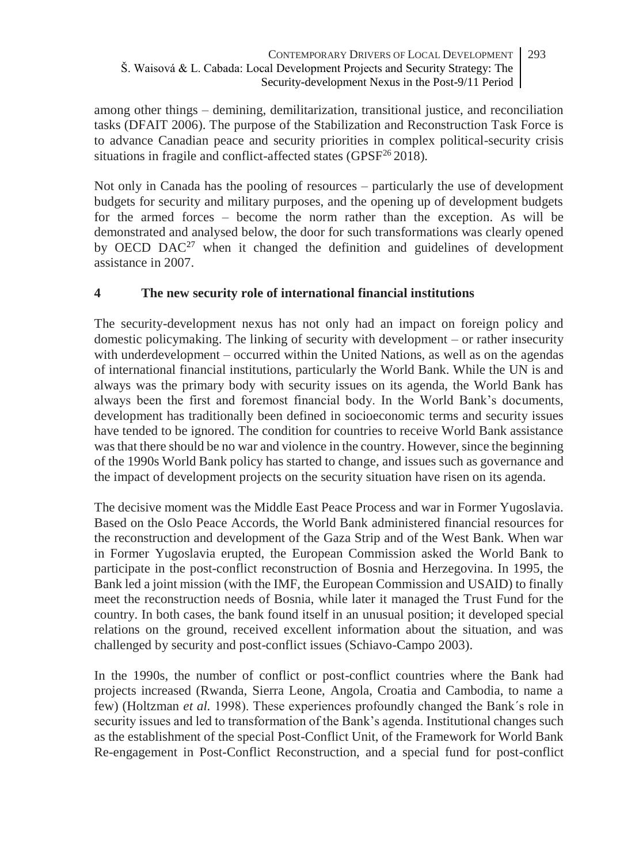among other things – demining, demilitarization, transitional justice, and reconciliation tasks (DFAIT 2006). The purpose of the Stabilization and Reconstruction Task Force is to advance Canadian peace and security priorities in complex political-security crisis situations in fragile and conflict-affected states (GPSF<sup>26</sup> 2018).

Not only in Canada has the pooling of resources – particularly the use of development budgets for security and military purposes, and the opening up of development budgets for the armed forces – become the norm rather than the exception. As will be demonstrated and analysed below, the door for such transformations was clearly opened by OECD  $DAC^{27}$  when it changed the definition and guidelines of development assistance in 2007.

# **4 The new security role of international financial institutions**

The security-development nexus has not only had an impact on foreign policy and domestic policymaking. The linking of security with development – or rather insecurity with underdevelopment – occurred within the United Nations, as well as on the agendas of international financial institutions, particularly the World Bank. While the UN is and always was the primary body with security issues on its agenda, the World Bank has always been the first and foremost financial body. In the World Bank's documents, development has traditionally been defined in socioeconomic terms and security issues have tended to be ignored. The condition for countries to receive World Bank assistance was that there should be no war and violence in the country. However, since the beginning of the 1990s World Bank policy has started to change, and issues such as governance and the impact of development projects on the security situation have risen on its agenda.

The decisive moment was the Middle East Peace Process and war in Former Yugoslavia. Based on the Oslo Peace Accords, the World Bank administered financial resources for the reconstruction and development of the Gaza Strip and of the West Bank. When war in Former Yugoslavia erupted, the European Commission asked the World Bank to participate in the post-conflict reconstruction of Bosnia and Herzegovina. In 1995, the Bank led a joint mission (with the IMF, the European Commission and USAID) to finally meet the reconstruction needs of Bosnia, while later it managed the Trust Fund for the country. In both cases, the bank found itself in an unusual position; it developed special relations on the ground, received excellent information about the situation, and was challenged by security and post-conflict issues (Schiavo-Campo 2003).

In the 1990s, the number of conflict or post-conflict countries where the Bank had projects increased (Rwanda, Sierra Leone, Angola, Croatia and Cambodia, to name a few) (Holtzman *et al.* 1998). These experiences profoundly changed the Bank´s role in security issues and led to transformation of the Bank's agenda. Institutional changes such as the establishment of the special Post-Conflict Unit, of the Framework for World Bank Re-engagement in Post-Conflict Reconstruction, and a special fund for post-conflict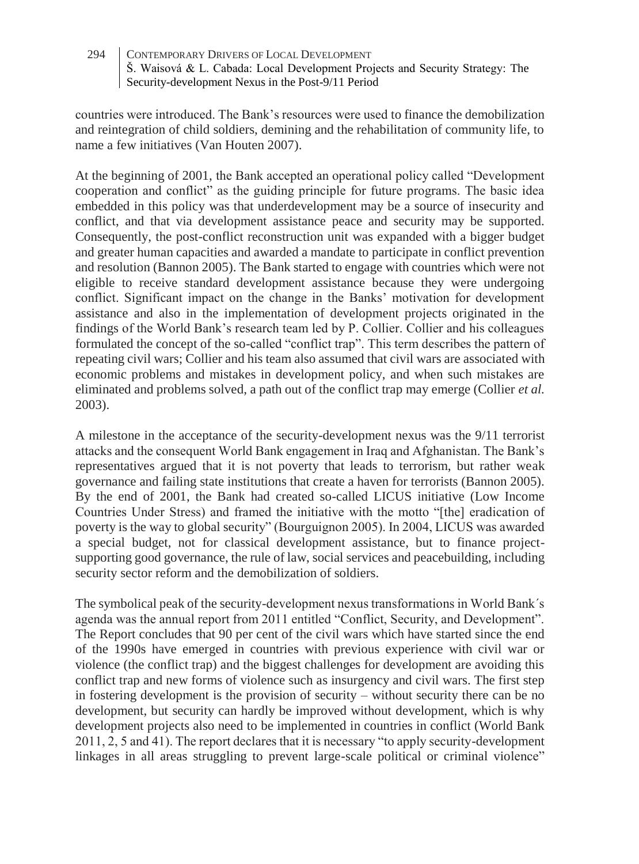countries were introduced. The Bank's resources were used to finance the demobilization and reintegration of child soldiers, demining and the rehabilitation of community life, to name a few initiatives (Van Houten 2007).

At the beginning of 2001, the Bank accepted an operational policy called "Development cooperation and conflict" as the guiding principle for future programs. The basic idea embedded in this policy was that underdevelopment may be a source of insecurity and conflict, and that via development assistance peace and security may be supported. Consequently, the post-conflict reconstruction unit was expanded with a bigger budget and greater human capacities and awarded a mandate to participate in conflict prevention and resolution (Bannon 2005). The Bank started to engage with countries which were not eligible to receive standard development assistance because they were undergoing conflict. Significant impact on the change in the Banks' motivation for development assistance and also in the implementation of development projects originated in the findings of the World Bank's research team led by P. Collier. Collier and his colleagues formulated the concept of the so-called "conflict trap". This term describes the pattern of repeating civil wars; Collier and his team also assumed that civil wars are associated with economic problems and mistakes in development policy, and when such mistakes are eliminated and problems solved, a path out of the conflict trap may emerge (Collier *et al.* 2003).

A milestone in the acceptance of the security-development nexus was the 9/11 terrorist attacks and the consequent World Bank engagement in Iraq and Afghanistan. The Bank's representatives argued that it is not poverty that leads to terrorism, but rather weak governance and failing state institutions that create a haven for terrorists (Bannon 2005). By the end of 2001, the Bank had created so-called LICUS initiative (Low Income Countries Under Stress) and framed the initiative with the motto "[the] eradication of poverty is the way to global security" (Bourguignon 2005). In 2004, LICUS was awarded a special budget, not for classical development assistance, but to finance projectsupporting good governance, the rule of law, social services and peacebuilding, including security sector reform and the demobilization of soldiers.

The symbolical peak of the security-development nexus transformations in World Bank´s agenda was the annual report from 2011 entitled "Conflict, Security, and Development". The Report concludes that 90 per cent of the civil wars which have started since the end of the 1990s have emerged in countries with previous experience with civil war or violence (the conflict trap) and the biggest challenges for development are avoiding this conflict trap and new forms of violence such as insurgency and civil wars. The first step in fostering development is the provision of security – without security there can be no development, but security can hardly be improved without development, which is why development projects also need to be implemented in countries in conflict (World Bank 2011, 2, 5 and 41). The report declares that it is necessary "to apply security-development linkages in all areas struggling to prevent large-scale political or criminal violence"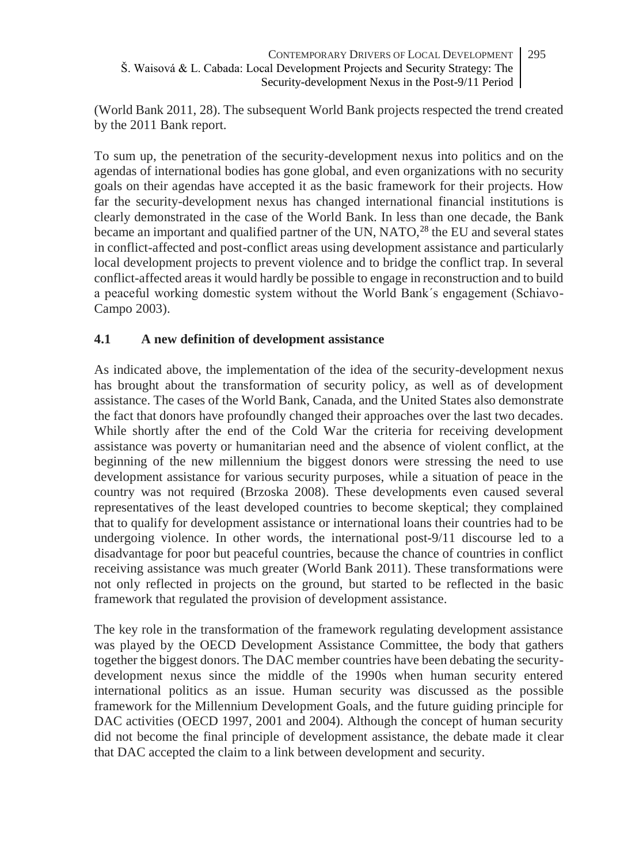(World Bank 2011, 28). The subsequent World Bank projects respected the trend created by the 2011 Bank report.

To sum up, the penetration of the security-development nexus into politics and on the agendas of international bodies has gone global, and even organizations with no security goals on their agendas have accepted it as the basic framework for their projects. How far the security-development nexus has changed international financial institutions is clearly demonstrated in the case of the World Bank. In less than one decade, the Bank became an important and qualified partner of the UN, NATO,<sup>28</sup> the EU and several states in conflict-affected and post-conflict areas using development assistance and particularly local development projects to prevent violence and to bridge the conflict trap. In several conflict-affected areas it would hardly be possible to engage in reconstruction and to build a peaceful working domestic system without the World Bank´s engagement (Schiavo-Campo 2003).

# **4.1 A new definition of development assistance**

As indicated above, the implementation of the idea of the security-development nexus has brought about the transformation of security policy, as well as of development assistance. The cases of the World Bank, Canada, and the United States also demonstrate the fact that donors have profoundly changed their approaches over the last two decades. While shortly after the end of the Cold War the criteria for receiving development assistance was poverty or humanitarian need and the absence of violent conflict, at the beginning of the new millennium the biggest donors were stressing the need to use development assistance for various security purposes, while a situation of peace in the country was not required (Brzoska 2008). These developments even caused several representatives of the least developed countries to become skeptical; they complained that to qualify for development assistance or international loans their countries had to be undergoing violence. In other words, the international post-9/11 discourse led to a disadvantage for poor but peaceful countries, because the chance of countries in conflict receiving assistance was much greater (World Bank 2011). These transformations were not only reflected in projects on the ground, but started to be reflected in the basic framework that regulated the provision of development assistance.

The key role in the transformation of the framework regulating development assistance was played by the OECD Development Assistance Committee, the body that gathers together the biggest donors. The DAC member countries have been debating the securitydevelopment nexus since the middle of the 1990s when human security entered international politics as an issue. Human security was discussed as the possible framework for the Millennium Development Goals, and the future guiding principle for DAC activities (OECD 1997, 2001 and 2004). Although the concept of human security did not become the final principle of development assistance, the debate made it clear that DAC accepted the claim to a link between development and security.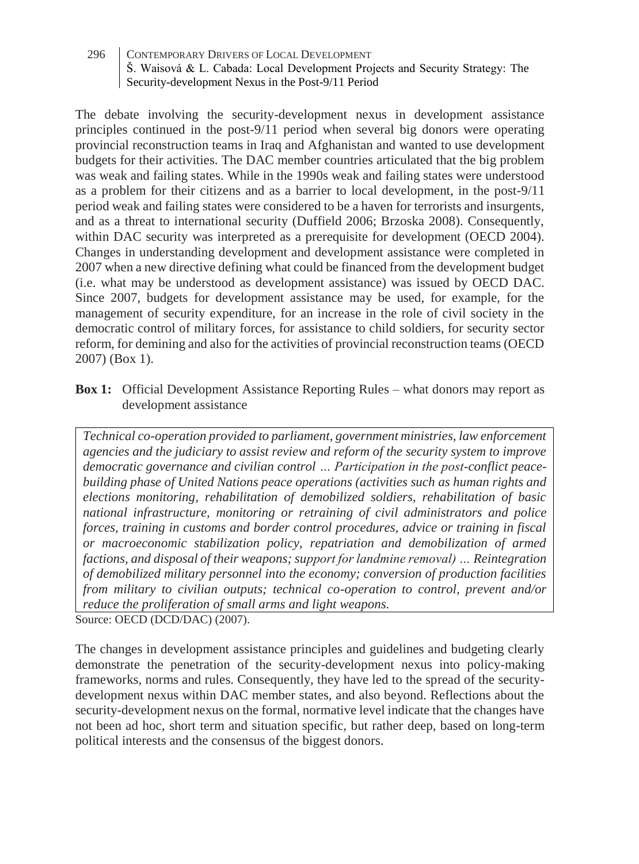The debate involving the security-development nexus in development assistance principles continued in the post-9/11 period when several big donors were operating provincial reconstruction teams in Iraq and Afghanistan and wanted to use development budgets for their activities. The DAC member countries articulated that the big problem was weak and failing states. While in the 1990s weak and failing states were understood as a problem for their citizens and as a barrier to local development, in the post-9/11 period weak and failing states were considered to be a haven for terrorists and insurgents, and as a threat to international security (Duffield 2006; Brzoska 2008). Consequently, within DAC security was interpreted as a prerequisite for development (OECD 2004). Changes in understanding development and development assistance were completed in 2007 when a new directive defining what could be financed from the development budget (i.e. what may be understood as development assistance) was issued by OECD DAC. Since 2007, budgets for development assistance may be used, for example, for the management of security expenditure, for an increase in the role of civil society in the democratic control of military forces, for assistance to child soldiers, for security sector reform, for demining and also for the activities of provincial reconstruction teams (OECD 2007) (Box 1).

**Box 1:** Official Development Assistance Reporting Rules – what donors may report as development assistance

*Technical co-operation provided to parliament, government ministries, law enforcement agencies and the judiciary to assist review and reform of the security system to improve democratic governance and civilian control … Participation in the post-conflict peacebuilding phase of United Nations peace operations (activities such as human rights and elections monitoring, rehabilitation of demobilized soldiers, rehabilitation of basic national infrastructure, monitoring or retraining of civil administrators and police forces, training in customs and border control procedures, advice or training in fiscal or macroeconomic stabilization policy, repatriation and demobilization of armed factions, and disposal of their weapons; support for landmine removal) … Reintegration of demobilized military personnel into the economy; conversion of production facilities from military to civilian outputs; technical co-operation to control, prevent and/or reduce the proliferation of small arms and light weapons.* Source: OECD (DCD/DAC) (2007).

The changes in development assistance principles and guidelines and budgeting clearly demonstrate the penetration of the security-development nexus into policy-making frameworks, norms and rules. Consequently, they have led to the spread of the securitydevelopment nexus within DAC member states, and also beyond. Reflections about the security-development nexus on the formal, normative level indicate that the changes have not been ad hoc, short term and situation specific, but rather deep, based on long-term political interests and the consensus of the biggest donors.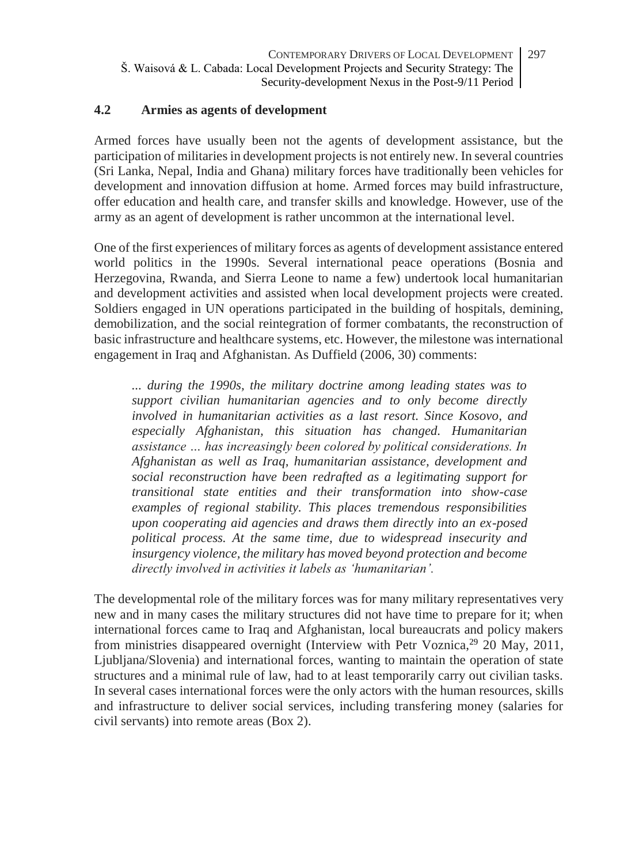### **4.2 Armies as agents of development**

Armed forces have usually been not the agents of development assistance, but the participation of militaries in development projects is not entirely new. In several countries (Sri Lanka, Nepal, India and Ghana) military forces have traditionally been vehicles for development and innovation diffusion at home. Armed forces may build infrastructure, offer education and health care, and transfer skills and knowledge. However, use of the army as an agent of development is rather uncommon at the international level.

One of the first experiences of military forces as agents of development assistance entered world politics in the 1990s. Several international peace operations (Bosnia and Herzegovina, Rwanda, and Sierra Leone to name a few) undertook local humanitarian and development activities and assisted when local development projects were created. Soldiers engaged in UN operations participated in the building of hospitals, demining, demobilization, and the social reintegration of former combatants, the reconstruction of basic infrastructure and healthcare systems, etc. However, the milestone was international engagement in Iraq and Afghanistan. As Duffield (2006, 30) comments:

*... during the 1990s, the military doctrine among leading states was to support civilian humanitarian agencies and to only become directly involved in humanitarian activities as a last resort. Since Kosovo, and especially Afghanistan, this situation has changed. Humanitarian assistance … has increasingly been colored by political considerations. In Afghanistan as well as Iraq, humanitarian assistance, development and social reconstruction have been redrafted as a legitimating support for transitional state entities and their transformation into show-case examples of regional stability. This places tremendous responsibilities upon cooperating aid agencies and draws them directly into an ex-posed political process. At the same time, due to widespread insecurity and insurgency violence, the military has moved beyond protection and become directly involved in activities it labels as 'humanitarian'.*

The developmental role of the military forces was for many military representatives very new and in many cases the military structures did not have time to prepare for it; when international forces came to Iraq and Afghanistan, local bureaucrats and policy makers from ministries disappeared overnight (Interview with Petr Voznica, <sup>29</sup> 20 May, 2011, Ljubljana/Slovenia) and international forces, wanting to maintain the operation of state structures and a minimal rule of law, had to at least temporarily carry out civilian tasks. In several cases international forces were the only actors with the human resources, skills and infrastructure to deliver social services, including transfering money (salaries for civil servants) into remote areas (Box 2).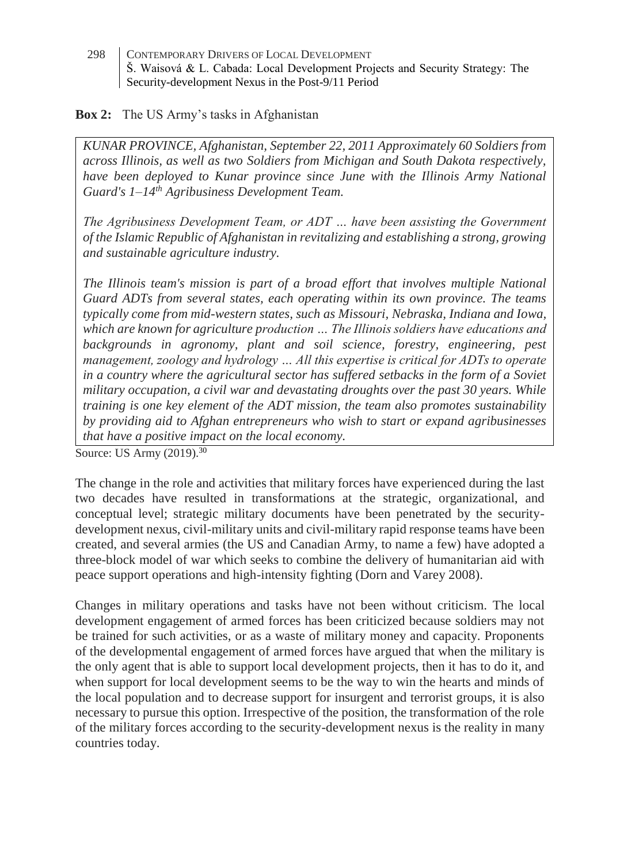### **Box 2:** The US Army's tasks in Afghanistan

*KUNAR PROVINCE, Afghanistan, September 22, 2011 Approximately 60 Soldiers from across Illinois, as well as two Soldiers from Michigan and South Dakota respectively, have been deployed to Kunar province since June with the Illinois Army National Guard's 1–14th Agribusiness Development Team.*

*The Agribusiness Development Team, or ADT … have been assisting the Government of the Islamic Republic of Afghanistan in revitalizing and establishing a strong, growing and sustainable agriculture industry.*

*The Illinois team's mission is part of a broad effort that involves multiple National Guard ADTs from several states, each operating within its own province. The teams typically come from mid-western states, such as Missouri, Nebraska, Indiana and Iowa, which are known for agriculture production … The Illinois soldiers have educations and backgrounds in agronomy, plant and soil science, forestry, engineering, pest management, zoology and hydrology … All this expertise is critical for ADTs to operate in a country where the agricultural sector has suffered setbacks in the form of a Soviet military occupation, a civil war and devastating droughts over the past 30 years. While training is one key element of the ADT mission, the team also promotes sustainability by providing aid to Afghan entrepreneurs who wish to start or expand agribusinesses that have a positive impact on the local economy.*

Source: US Army (2019).<sup>30</sup>

The change in the role and activities that military forces have experienced during the last two decades have resulted in transformations at the strategic, organizational, and conceptual level; strategic military documents have been penetrated by the securitydevelopment nexus, civil-military units and civil-military rapid response teams have been created, and several armies (the US and Canadian Army, to name a few) have adopted a three-block model of war which seeks to combine the delivery of humanitarian aid with peace support operations and high-intensity fighting (Dorn and Varey 2008).

Changes in military operations and tasks have not been without criticism. The local development engagement of armed forces has been criticized because soldiers may not be trained for such activities, or as a waste of military money and capacity. Proponents of the developmental engagement of armed forces have argued that when the military is the only agent that is able to support local development projects, then it has to do it, and when support for local development seems to be the way to win the hearts and minds of the local population and to decrease support for insurgent and terrorist groups, it is also necessary to pursue this option. Irrespective of the position, the transformation of the role of the military forces according to the security-development nexus is the reality in many countries today.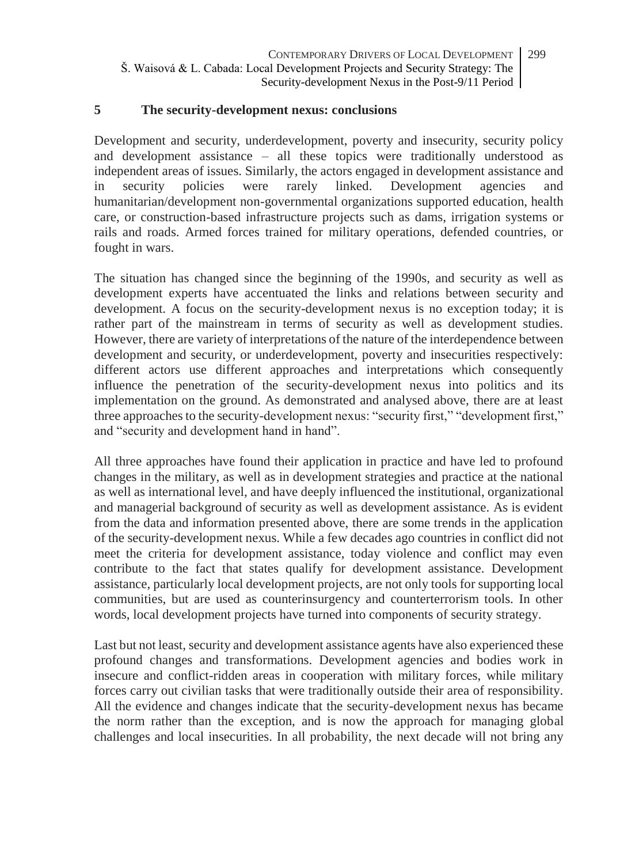### **5 The security-development nexus: conclusions**

Development and security, underdevelopment, poverty and insecurity, security policy and development assistance – all these topics were traditionally understood as independent areas of issues. Similarly, the actors engaged in development assistance and in security policies were rarely linked. Development agencies and humanitarian/development non-governmental organizations supported education, health care, or construction-based infrastructure projects such as dams, irrigation systems or rails and roads. Armed forces trained for military operations, defended countries, or fought in wars.

The situation has changed since the beginning of the 1990s, and security as well as development experts have accentuated the links and relations between security and development. A focus on the security-development nexus is no exception today; it is rather part of the mainstream in terms of security as well as development studies. However, there are variety of interpretations of the nature of the interdependence between development and security, or underdevelopment, poverty and insecurities respectively: different actors use different approaches and interpretations which consequently influence the penetration of the security-development nexus into politics and its implementation on the ground. As demonstrated and analysed above, there are at least three approaches to the security-development nexus: "security first," "development first," and "security and development hand in hand".

All three approaches have found their application in practice and have led to profound changes in the military, as well as in development strategies and practice at the national as well as international level, and have deeply influenced the institutional, organizational and managerial background of security as well as development assistance. As is evident from the data and information presented above, there are some trends in the application of the security-development nexus. While a few decades ago countries in conflict did not meet the criteria for development assistance, today violence and conflict may even contribute to the fact that states qualify for development assistance. Development assistance, particularly local development projects, are not only tools for supporting local communities, but are used as counterinsurgency and counterterrorism tools. In other words, local development projects have turned into components of security strategy.

Last but not least, security and development assistance agents have also experienced these profound changes and transformations. Development agencies and bodies work in insecure and conflict-ridden areas in cooperation with military forces, while military forces carry out civilian tasks that were traditionally outside their area of responsibility. All the evidence and changes indicate that the security-development nexus has became the norm rather than the exception, and is now the approach for managing global challenges and local insecurities. In all probability, the next decade will not bring any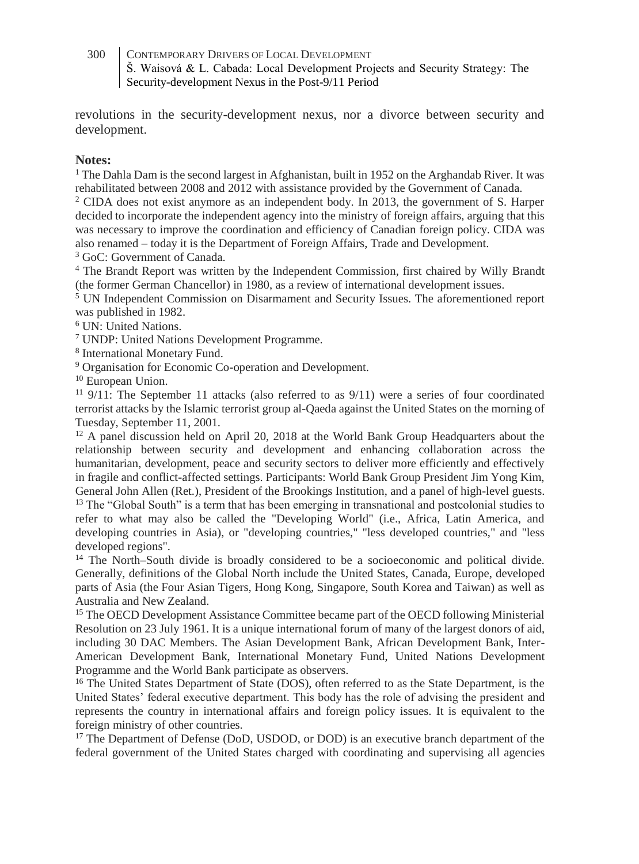revolutions in the security-development nexus, nor a divorce between security and development.

### **Notes:**

<sup>1</sup> The Dahla Dam is the second largest in Afghanistan, built in 1952 on the Arghandab River. It was rehabilitated between 2008 and 2012 with assistance provided by the Government of Canada.

<sup>2</sup> CIDA does not exist anymore as an independent body. In 2013, the government of S. Harper decided to incorporate the independent agency into the ministry of foreign affairs, arguing that this was necessary to improve the coordination and efficiency of Canadian foreign policy. CIDA was also renamed – today it is the Department of Foreign Affairs, Trade and Development.

<sup>3</sup> GoC: Government of Canada.

<sup>4</sup> The Brandt Report was written by the Independent Commission, first chaired by Willy Brandt (the former German Chancellor) in 1980, as a review of international development issues.

<sup>5</sup> UN Independent Commission on Disarmament and Security Issues. The aforementioned report was published in 1982.

<sup>6</sup> UN: United Nations.

<sup>7</sup> UNDP: United Nations Development Programme.

8 International Monetary Fund.

<sup>9</sup> Organisation for Economic Co-operation and Development.

<sup>10</sup> European Union.

 $11$  9/11: The September 11 attacks (also referred to as  $9/11$ ) were a series of four coordinated terrorist attacks by the Islamic terrorist group al-Qaeda against the United States on the morning of Tuesday, September 11, 2001.

<sup>12</sup> A panel discussion held on April 20, 2018 at the World Bank Group Headquarters about the relationship between security and development and enhancing collaboration across the humanitarian, development, peace and security sectors to deliver more efficiently and effectively in fragile and conflict-affected settings. Participants: World Bank Group President Jim Yong Kim, General John Allen (Ret.), President of the Brookings Institution, and a panel of high-level guests. <sup>13</sup> The "Global South" is a term that has been emerging in transnational and postcolonial studies to refer to what may also be called the "Developing World" (i.e., Africa, Latin America, and developing countries in Asia), or "developing countries," "less developed countries," and "less developed regions".

<sup>14</sup> The North–South divide is broadly considered to be a socioeconomic and political divide. Generally, definitions of the Global North include the United States, Canada, Europe, developed parts of Asia (the Four Asian Tigers, Hong Kong, Singapore, South Korea and Taiwan) as well as Australia and New Zealand.

<sup>15</sup> The OECD Development Assistance Committee became part of the OECD following Ministerial Resolution on 23 July 1961. It is a unique international forum of many of the largest donors of aid, including 30 DAC Members. The Asian Development Bank, African Development Bank, Inter-American Development Bank, International Monetary Fund, United Nations Development Programme and the World Bank participate as observers.

<sup>16</sup> The United States Department of State (DOS), often referred to as the State Department, is the United States' federal executive department. This body has the role of advising the president and represents the country in international affairs and foreign policy issues. It is equivalent to the foreign ministry of other countries.

<sup>17</sup> The Department of Defense (DoD, USDOD, or DOD) is an executive branch department of the federal government of the United States charged with coordinating and supervising all agencies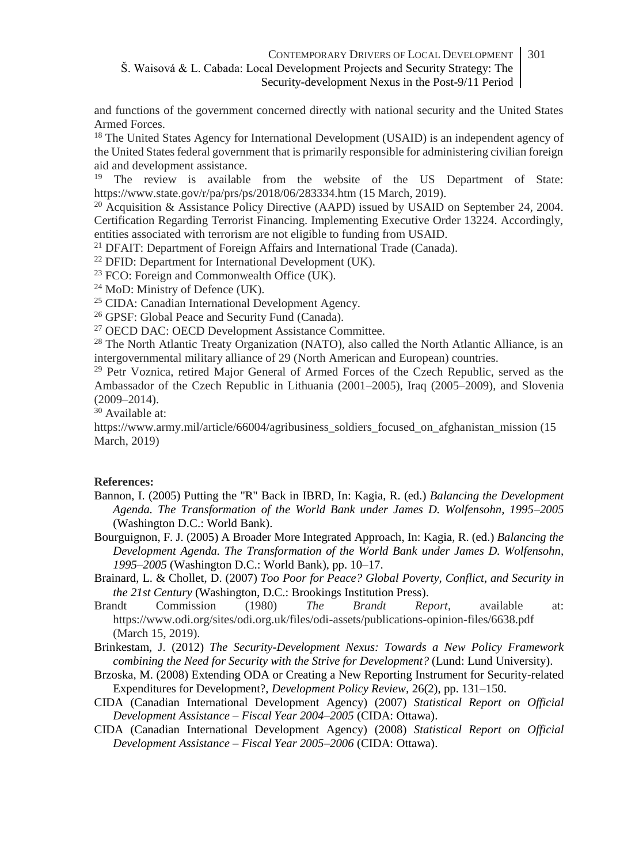and functions of the government concerned directly with national security and the United States Armed Forces.

<sup>18</sup> The United States Agency for International Development (USAID) is an independent agency of the United States federal government that is primarily responsible for administering civilian foreign aid and development assistance.

<sup>19</sup> The review is available from the website of the US Department of State: https://www.state.gov/r/pa/prs/ps/2018/06/283334.htm (15 March, 2019).

<sup>20</sup> Acquisition & Assistance Policy Directive (AAPD) issued by USAID on September 24, 2004. Certification Regarding Terrorist Financing. Implementing Executive Order 13224. Accordingly, entities associated with terrorism are not eligible to funding from USAID.

<sup>21</sup> DFAIT: Department of Foreign Affairs and International Trade (Canada).

<sup>22</sup> DFID: Department for International Development (UK).

<sup>23</sup> FCO: Foreign and Commonwealth Office  $(\tilde{U}K)$ .

<sup>24</sup> MoD: Ministry of Defence (UK).

<sup>25</sup> CIDA: Canadian International Development Agency.

<sup>26</sup> GPSF: Global Peace and Security Fund (Canada).

<sup>27</sup> OECD DAC: OECD Development Assistance Committee.

<sup>28</sup> The North Atlantic Treaty Organization (NATO), also called the North Atlantic Alliance, is an intergovernmental military alliance of 29 (North American and European) countries.

<sup>29</sup> Petr Voznica, retired Major General of Armed Forces of the Czech Republic, served as the Ambassador of the Czech Republic in Lithuania (2001–2005), Iraq (2005–2009), and Slovenia (2009–2014).

<sup>30</sup> Available at:

https://www.army.mil/article/66004/agribusiness\_soldiers\_focused\_on\_afghanistan\_mission (15 March, 2019)

### **References:**

- Bannon, I. (2005) Putting the "R" Back in IBRD, In: Kagia, R. (ed.) *Balancing the Development Agenda. The Transformation of the World Bank under James D. Wolfensohn, 1995–2005* (Washington D.C.: World Bank).
- Bourguignon, F. J. (2005) A Broader More Integrated Approach, In: Kagia, R. (ed.) *Balancing the Development Agenda. The Transformation of the World Bank under James D. Wolfensohn, 1995–2005* (Washington D.C.: World Bank), pp. 10–17.
- Brainard, L. & Chollet, D. (2007) *Too Poor for Peace? Global Poverty, Conflict, and Security in the 21st Century* (Washington, D.C.: Brookings Institution Press).
- Brandt Commission (1980) *The Brandt Report*, available at: https://www.odi.org/sites/odi.org.uk/files/odi-assets/publications-opinion-files/6638.pdf (March 15, 2019).
- Brinkestam, J. (2012) *The Security-Development Nexus: Towards a New Policy Framework combining the Need for Security with the Strive for Development?* (Lund: Lund University).
- Brzoska, M. (2008) Extending ODA or Creating a New Reporting Instrument for Security-related Expenditures for Development?, *Development Policy Review,* 26(2), pp. 131–150.
- CIDA (Canadian International Development Agency) (2007) *Statistical Report on Official Development Assistance – Fiscal Year 2004–2005* (CIDA: Ottawa).
- CIDA (Canadian International Development Agency) (2008) *Statistical Report on Official Development Assistance – Fiscal Year 2005–2006* (CIDA: Ottawa).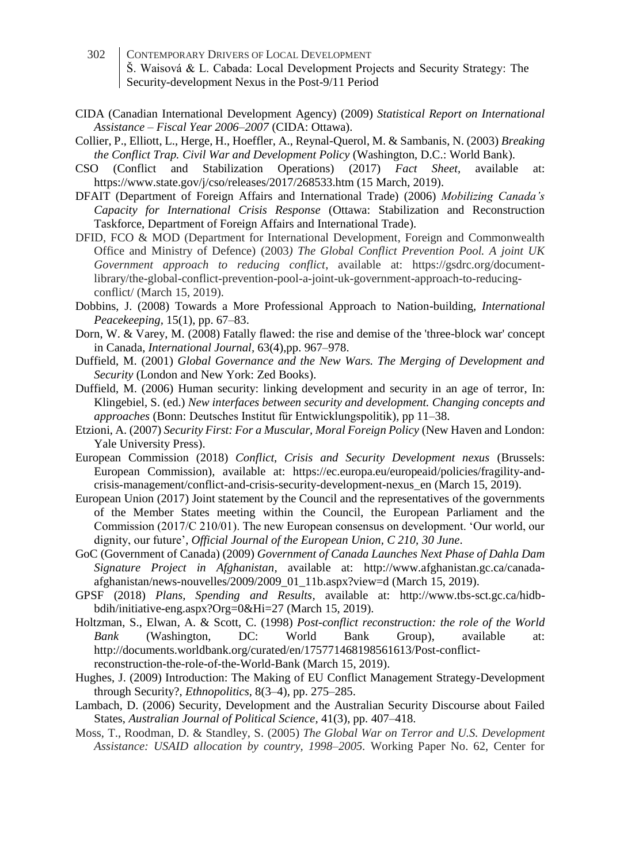- 302 CONTEMPORARY DRIVERS OF LOCAL DEVELOPMENT Š. Waisová & L. Cabada: Local Development Projects and Security Strategy: The Security-development Nexus in the Post-9/11 Period
- CIDA (Canadian International Development Agency) (2009) *Statistical Report on International Assistance – Fiscal Year 2006–2007* (CIDA: Ottawa).
- Collier, P., Elliott, L., Herge, H., Hoeffler, A., Reynal-Querol, M. & Sambanis, N. (2003) *Breaking the Conflict Trap. Civil War and Development Policy* (Washington, D.C.: World Bank).
- CSO (Conflict and Stabilization Operations) (2017) *Fact Sheet,* available at: https://www.state.gov/j/cso/releases/2017/268533.htm (15 March, 2019).
- DFAIT (Department of Foreign Affairs and International Trade) (2006) *Mobilizing Canada's Capacity for International Crisis Response* (Ottawa: Stabilization and Reconstruction Taskforce, Department of Foreign Affairs and International Trade).
- DFID, FCO & MOD (Department for International Development, Foreign and Commonwealth Office and Ministry of Defence) (2003*) The Global Conflict Prevention Pool. A joint UK Government approach to reducing conflict*, available at: https://gsdrc.org/documentlibrary/the-global-conflict-prevention-pool-a-joint-uk-government-approach-to-reducingconflict/ (March 15, 2019).
- Dobbins, J. (2008) Towards a More Professional Approach to Nation-building, *International Peacekeeping,* 15(1), pp. 67–83.
- Dorn, W. & Varey, M. (2008) Fatally flawed: the rise and demise of the 'three-block war' concept in Canada, *International Journal,* 63(4),pp. 967–978.
- Duffield, M. (2001) *Global Governance and the New Wars. The Merging of Development and Security* (London and New York: Zed Books).
- Duffield, M. (2006) Human security: linking development and security in an age of terror, In: Klingebiel, S. (ed.) *New interfaces between security and development. Changing concepts and approaches* (Bonn: Deutsches Institut für Entwicklungspolitik), pp 11–38.
- Etzioni, A. (2007) *Security First: For a Muscular, Moral Foreign Policy* (New Haven and London: Yale University Press).
- European Commission (2018) *Conflict, Crisis and Security Development nexus* (Brussels: European Commission)*,* available at: https://ec.europa.eu/europeaid/policies/fragility-andcrisis-management/conflict-and-crisis-security-development-nexus\_en (March 15, 2019).
- European Union (2017) Joint statement by the Council and the representatives of the governments of the Member States meeting within the Council, the European Parliament and the Commission (2017/C 210/01). The new European consensus on development. 'Our world, our dignity, our future', *Official Journal of the European Union, C 210, 30 June*.
- GoC (Government of Canada) (2009) *Government of Canada Launches Next Phase of Dahla Dam Signature Project in Afghanistan,* available at: http://www.afghanistan.gc.ca/canadaafghanistan/news-nouvelles/2009/2009\_01\_11b.aspx?view=d (March 15, 2019).
- GPSF (2018) *Plans, Spending and Results,* available at: http://www.tbs-sct.gc.ca/hidbbdih/initiative-eng.aspx?Org=0&Hi=27 (March 15, 2019).
- Holtzman, S., Elwan, A. & Scott, C. (1998) *Post-conflict reconstruction: the role of the World Bank* (Washington, DC: World Bank Group), available at: http://documents.worldbank.org/curated/en/175771468198561613/Post-conflictreconstruction-the-role-of-the-World-Bank (March 15, 2019).
- Hughes, J. (2009) Introduction: The Making of EU Conflict Management Strategy-Development through Security?, *Ethnopolitics,* 8(3–4), pp. 275–285.
- Lambach, D. (2006) Security, Development and the Australian Security Discourse about Failed States, *Australian Journal of Political Science,* 41(3), pp. 407–418.
- Moss, T., Roodman, D. & Standley, S. (2005) *The Global War on Terror and U.S. Development Assistance: USAID allocation by country, 1998–2005.* Working Paper No. 62, Center for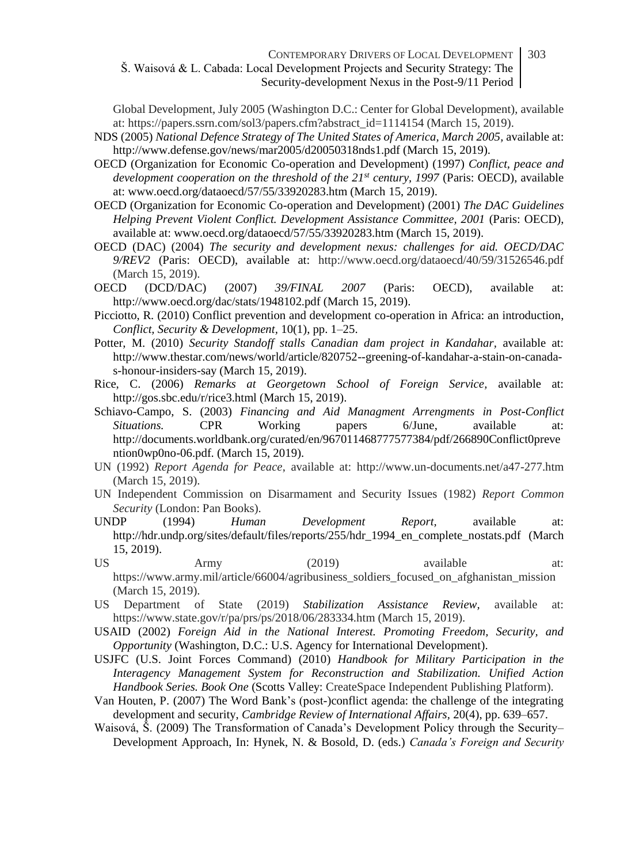Global Development, July 2005 (Washington D.C.: Center for Global Development), available at: https://papers.ssrn.com/sol3/papers.cfm?abstract\_id=1114154 (March 15, 2019).

- NDS (2005) *National Defence Strategy of The United States of America, March 2005,* available at: http://www.defense.gov/news/mar2005/d20050318nds1.pdf (March 15, 2019).
- OECD (Organization for Economic Co-operation and Development) (1997) *Conflict, peace and development cooperation on the threshold of the 21st century, 1997* (Paris: OECD), available at: www.oecd.org/dataoecd/57/55/33920283.htm (March 15, 2019).
- OECD (Organization for Economic Co-operation and Development) (2001) *The DAC Guidelines Helping Prevent Violent Conflict. Development Assistance Committee, 2001* (Paris: OECD), available at: www.oecd.org/dataoecd/57/55/33920283.htm (March 15, 2019).
- OECD (DAC) (2004) *The security and development nexus: challenges for aid. OECD/DAC 9/REV2* (Paris: OECD), available at: http://www.oecd.org/dataoecd/40/59/31526546.pdf (March 15, 2019).
- OECD (DCD/DAC) (2007) *39/FINAL 2007* (Paris: OECD), available at: http://www.oecd.org/dac/stats/1948102.pdf (March 15, 2019).
- Picciotto, R. (2010) Conflict prevention and development co-operation in Africa: an introduction, *Conflict, Security & Development,* 10(1), pp. 1–25.
- Potter, M. (2010) *Security Standoff stalls Canadian dam project in Kandahar,* available at: http://www.thestar.com/news/world/article/820752--greening-of-kandahar-a-stain-on-canadas-honour-insiders-say (March 15, 2019).
- Rice, C. (2006) *Remarks at Georgetown School of Foreign Service,* available at: http://gos.sbc.edu/r/rice3.html (March 15, 2019).
- Schiavo-Campo, S. (2003) *Financing and Aid Managment Arrengments in Post-Conflict Situations.* CPR Working papers 6/June, available at: http://documents.worldbank.org/curated/en/967011468777577384/pdf/266890Conflict0preve ntion0wp0no-06.pdf. (March 15, 2019).
- UN (1992) *Report Agenda for Peace*, available at: http://www.un-documents.net/a47-277.htm (March 15, 2019).
- UN Independent Commission on Disarmament and Security Issues (1982) *Report Common Security* (London: Pan Books).
- UNDP (1994) *Human Development Report,* available at: http://hdr.undp.org/sites/default/files/reports/255/hdr 1994\_en\_complete\_nostats.pdf (March 15, 2019).
- US Army (2019) available at: https://www.army.mil/article/66004/agribusiness\_soldiers\_focused\_on\_afghanistan\_mission (March 15, 2019).
- US Department of State (2019) *Stabilization Assistance Review,* available at: https://www.state.gov/r/pa/prs/ps/2018/06/283334.htm (March 15, 2019).
- USAID (2002) *Foreign Aid in the National Interest. Promoting Freedom, Security, and Opportunity* (Washington, D.C.: U.S. Agency for International Development).
- USJFC (U.S. Joint Forces Command) (2010) *Handbook for Military Participation in the Interagency Management System for Reconstruction and Stabilization. Unified Action Handbook Series. Book One* (Scotts Valley: CreateSpace Independent Publishing Platform).
- Van Houten, P. (2007) The Word Bank's (post-)conflict agenda: the challenge of the integrating development and security, *Cambridge Review of International Affairs,* 20(4), pp. 639–657.
- Waisová, Š. (2009) The Transformation of Canada's Development Policy through the Security– Development Approach, In: Hynek, N. & Bosold, D. (eds.) *Canada's Foreign and Security*